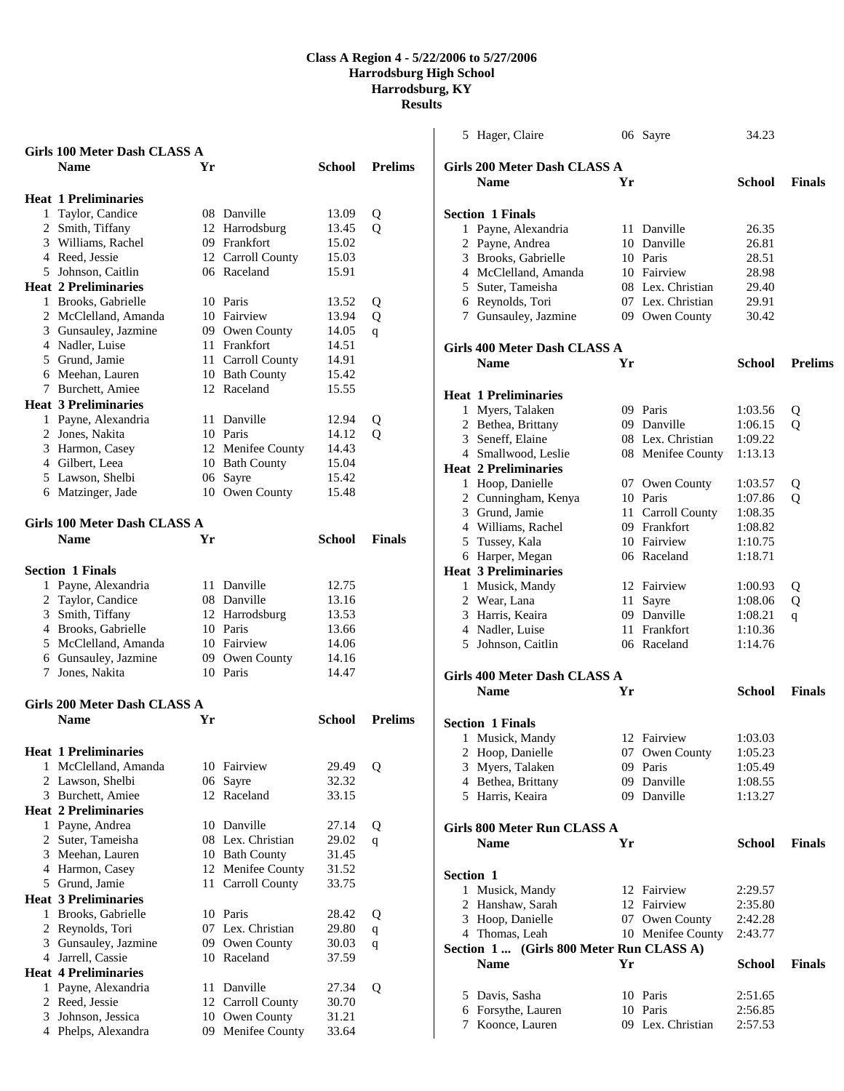|   | Girls 100 Meter Dash CLASS A<br><b>Name</b> | Yr |                   | School         | <b>Prelims</b> |
|---|---------------------------------------------|----|-------------------|----------------|----------------|
|   |                                             |    |                   |                |                |
|   | <b>Heat 1 Preliminaries</b>                 |    |                   |                |                |
|   | 1 Taylor, Candice                           |    | 08 Danville       | 13.09          | Q              |
|   | 2 Smith, Tiffany                            |    | 12 Harrodsburg    | 13.45          | $\mathbf{O}$   |
|   | 3 Williams, Rachel                          |    | 09 Frankfort      | 15.02          |                |
|   | 4 Reed, Jessie                              |    | 12 Carroll County | 15.03          |                |
|   | 5 Johnson, Caitlin                          |    | 06 Raceland       | 15.91          |                |
|   | <b>Heat 2 Preliminaries</b>                 |    |                   |                |                |
|   | 1 Brooks, Gabrielle                         |    | 10 Paris          | 13.52          | Q              |
|   | 2 McClelland, Amanda                        |    | 10 Fairview       | 13.94          | Q              |
|   | 3 Gunsauley, Jazmine                        |    | 09 Owen County    | 14.05          | q              |
|   | 4 Nadler, Luise                             |    | 11 Frankfort      | 14.51          |                |
|   | 5 Grund, Jamie                              |    | 11 Carroll County | 14.91          |                |
|   | 6 Meehan, Lauren                            |    | 10 Bath County    | 15.42          |                |
|   | 7 Burchett, Amiee                           |    | 12 Raceland       | 15.55          |                |
|   | <b>Heat 3 Preliminaries</b>                 |    |                   |                |                |
|   | 1 Payne, Alexandria                         |    | 11 Danville       | 12.94          | Q              |
|   | 2 Jones, Nakita                             |    | 10 Paris          | 14.12          | о              |
|   | 3 Harmon, Casey                             |    | 12 Menifee County | 14.43          |                |
|   | 4 Gilbert, Leea                             |    | 10 Bath County    | 15.04          |                |
|   | 5 Lawson, Shelbi                            | 06 | Sayre             | 15.42          |                |
|   | 6 Matzinger, Jade                           |    | 10 Owen County    | 15.48          |                |
|   | Girls 100 Meter Dash CLASS A                |    |                   |                |                |
|   | <b>Name</b>                                 | Yr |                   | School         | <b>Finals</b>  |
|   |                                             |    |                   |                |                |
|   | <b>Section 1 Finals</b>                     |    |                   |                |                |
|   | 1 Payne, Alexandria                         |    | 11 Danville       | 12.75          |                |
|   | 2 Taylor, Candice                           |    | 08 Danville       | 13.16          |                |
|   | 3 Smith, Tiffany                            |    | 12 Harrodsburg    | 13.53          |                |
|   | 4 Brooks, Gabrielle                         |    | 10 Paris          | 13.66          |                |
|   | 5 McClelland, Amanda                        |    | 10 Fairview       | 14.06          |                |
|   | 6 Gunsauley, Jazmine                        |    | 09 Owen County    | 14.16          |                |
|   | 7 Jones, Nakita                             |    | 10 Paris          | 14.47          |                |
|   | Girls 200 Meter Dash CLASS A                |    |                   |                |                |
|   | <b>Name</b>                                 | Yr |                   | School         | <b>Prelims</b> |
|   |                                             |    |                   |                |                |
|   | <b>Heat 1 Preliminaries</b>                 |    |                   |                |                |
| 1 | McClelland, Amanda                          | 10 | Fairview          | 29.49          | Q              |
|   | 2 Lawson, Shelbi                            | 06 | Sayre             | 32.32          |                |
|   | 3 Burchett, Amiee                           | 12 | Raceland          | 33.15          |                |
|   | <b>Heat 2 Preliminaries</b>                 |    |                   |                |                |
|   | 1 Payne, Andrea                             | 10 | Danville          | 27.14          | Q              |
|   | 2 Suter, Tameisha                           | 08 | Lex. Christian    | 29.02          |                |
|   | 3 Meehan, Lauren                            |    | 10 Bath County    | 31.45          | q              |
|   | 4 Harmon, Casey                             | 12 | Menifee County    | 31.52          |                |
|   | 5 Grund, Jamie                              | 11 | Carroll County    | 33.75          |                |
|   | <b>Heat 3 Preliminaries</b>                 |    |                   |                |                |
|   |                                             |    | 10 Paris          |                |                |
|   | 1 Brooks, Gabrielle                         |    | 07 Lex. Christian | 28.42<br>29.80 | Q              |
|   | 2 Reynolds, Tori                            |    |                   |                | $\mathbf{q}$   |
|   | 3 Gunsauley, Jazmine                        | 09 | Owen County       | 30.03          | $\mathbf q$    |
|   | 4 Jarrell, Cassie                           |    | 10 Raceland       | 37.59          |                |
|   | <b>Heat 4 Preliminaries</b>                 |    |                   |                |                |
|   | 1 Payne, Alexandria                         | 11 | Danville          | 27.34          | Q              |
| 2 | Reed, Jessie                                | 12 | Carroll County    | 30.70          |                |
|   | 3 Johnson, Jessica                          | 10 | Owen County       | 31.21          |                |
|   | 4 Phelps, Alexandra                         | 09 | Menifee County    | 33.64          |                |

| 5 Hager, Claire                         |    | 06 Sayre                   | 34.23              |                |  |  |
|-----------------------------------------|----|----------------------------|--------------------|----------------|--|--|
|                                         |    |                            |                    |                |  |  |
| Girls 200 Meter Dash CLASS A            |    |                            |                    |                |  |  |
| <b>Name</b>                             | Yr |                            | School             | <b>Finals</b>  |  |  |
| <b>Section 1 Finals</b>                 |    |                            |                    |                |  |  |
| 1 Payne, Alexandria                     |    | 11 Danville                | 26.35              |                |  |  |
| 2 Payne, Andrea                         |    | 10 Danville                | 26.81              |                |  |  |
| 3 Brooks, Gabrielle                     |    | 10 Paris                   | 28.51              |                |  |  |
| 4 McClelland, Amanda                    |    | 10 Fairview                | 28.98              |                |  |  |
| 5 Suter, Tameisha                       |    | 08 Lex. Christian          | 29.40              |                |  |  |
| 6 Reynolds, Tori                        |    | 07 Lex. Christian          | 29.91              |                |  |  |
| 7 Gunsauley, Jazmine                    |    | 09 Owen County             | 30.42              |                |  |  |
| Girls 400 Meter Dash CLASS A            |    |                            |                    |                |  |  |
| <b>Name</b>                             | Yr |                            | School             | <b>Prelims</b> |  |  |
|                                         |    |                            |                    |                |  |  |
| <b>Heat 1 Preliminaries</b>             |    |                            |                    |                |  |  |
| 1 Myers, Talaken                        |    | 09 Paris                   | 1:03.56            | Q              |  |  |
| 2 Bethea, Brittany                      |    | 09 Danville                | 1:06.15            | Q              |  |  |
| 3 Seneff, Elaine                        |    | 08 Lex. Christian          | 1:09.22            |                |  |  |
| 4 Smallwood, Leslie                     |    | 08 Menifee County          | 1:13.13            |                |  |  |
| <b>Heat 2 Preliminaries</b>             |    |                            |                    |                |  |  |
| 1 Hoop, Danielle                        |    | 07 Owen County             | 1:03.57            | Q              |  |  |
| 2 Cunningham, Kenya                     |    | 10 Paris                   | 1:07.86            | Q              |  |  |
| 3 Grund, Jamie                          | 11 | Carroll County             | 1:08.35            |                |  |  |
| 4 Williams, Rachel                      |    | 09 Frankfort               | 1:08.82            |                |  |  |
| 5 Tussey, Kala                          |    | 10 Fairview                | 1:10.75            |                |  |  |
| 6 Harper, Megan                         |    | 06 Raceland                | 1:18.71            |                |  |  |
| <b>Heat 3 Preliminaries</b>             |    |                            |                    |                |  |  |
| 1 Musick, Mandy                         |    | 12 Fairview                | 1:00.93            | Q              |  |  |
| 2 Wear, Lana                            |    | 11 Sayre                   | 1:08.06            | Q              |  |  |
| 3 Harris, Keaira                        |    | 09 Danville                | 1:08.21            | q              |  |  |
| 4 Nadler, Luise                         |    | 11 Frankfort               | 1:10.36            |                |  |  |
| 5 Johnson, Caitlin                      |    | 06 Raceland                | 1:14.76            |                |  |  |
| Girls 400 Meter Dash CLASS A            |    |                            |                    |                |  |  |
| <b>Name</b>                             | Yr |                            | School             | <b>Finals</b>  |  |  |
| <b>Section 1 Finals</b>                 |    |                            |                    |                |  |  |
| 1 Musick, Mandy                         |    | 12 Fairview                | 1:03.03            |                |  |  |
|                                         |    |                            |                    |                |  |  |
| 2 Hoop, Danielle<br>3 Myers, Talaken    |    | 07 Owen County<br>09 Paris | 1:05.23<br>1:05.49 |                |  |  |
| 4 Bethea, Brittany                      |    | 09 Danville                | 1:08.55            |                |  |  |
| 5 Harris, Keaira                        |    | 09 Danville                | 1:13.27            |                |  |  |
|                                         |    |                            |                    |                |  |  |
| Girls 800 Meter Run CLASS A             |    |                            |                    |                |  |  |
| <b>Name</b>                             | Yr |                            | <b>School</b>      | <b>Finals</b>  |  |  |
|                                         |    |                            |                    |                |  |  |
| Section 1                               |    |                            |                    |                |  |  |
| 1 Musick, Mandy                         |    | 12 Fairview                | 2:29.57            |                |  |  |
| 2 Hanshaw, Sarah                        |    | 12 Fairview                | 2:35.80            |                |  |  |
| 3 Hoop, Danielle                        |    | 07 Owen County             | 2:42.28            |                |  |  |
| 4 Thomas, Leah                          |    | 10 Menifee County          | 2:43.77            |                |  |  |
| Section 1 (Girls 800 Meter Run CLASS A) |    |                            |                    |                |  |  |
| <b>Name</b>                             | Yr |                            | <b>School</b>      | <b>Finals</b>  |  |  |
| 5 Davis, Sasha                          |    | 10 Paris                   | 2:51.65            |                |  |  |
| 6 Forsythe, Lauren                      |    | 10 Paris                   | 2:56.85            |                |  |  |
| 7 Koonce, Lauren                        |    | 09 Lex. Christian          | 2:57.53            |                |  |  |
|                                         |    |                            |                    |                |  |  |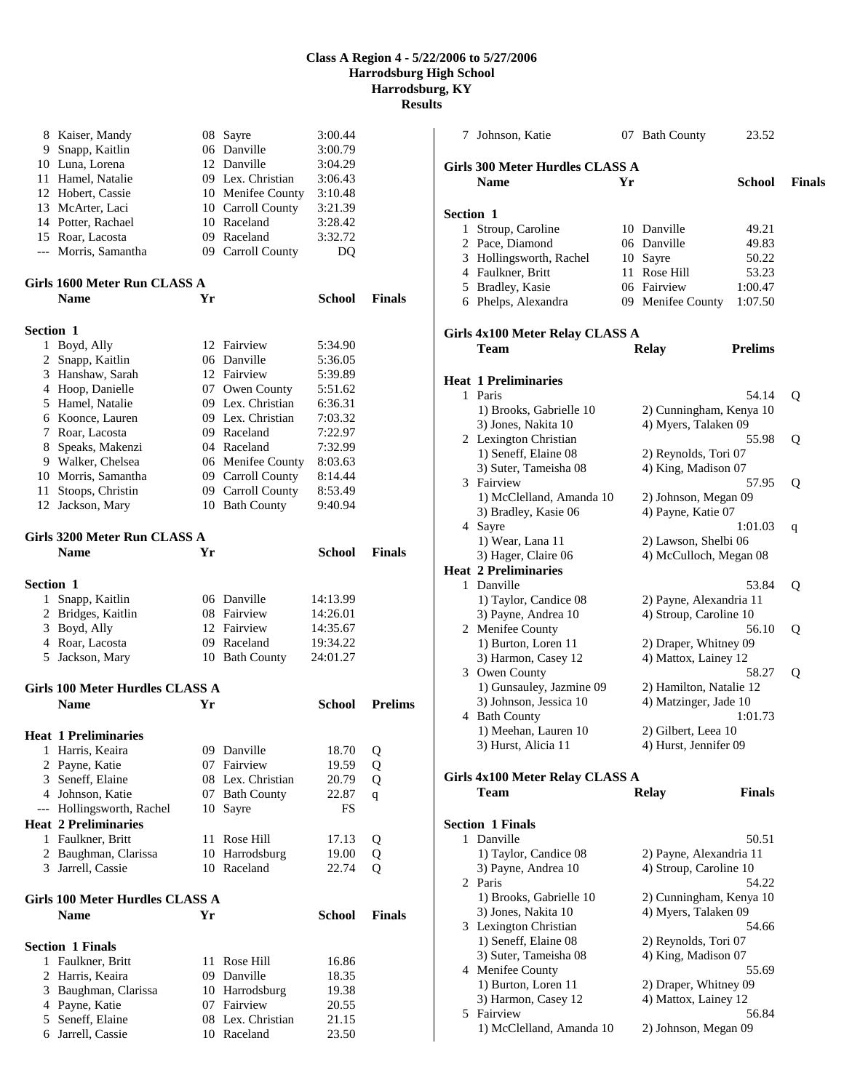|                  | 8 Kaiser, Mandy                 |    | 08 Sayre          | 3:00.44       |                |
|------------------|---------------------------------|----|-------------------|---------------|----------------|
|                  | 9 Snapp, Kaitlin                |    | 06 Danville       | 3:00.79       |                |
|                  | 10 Luna, Lorena                 |    | 12 Danville       | 3:04.29       |                |
|                  | 11 Hamel, Natalie               |    | 09 Lex. Christian | 3:06.43       |                |
|                  | 12 Hobert, Cassie               |    | 10 Menifee County | 3:10.48       |                |
|                  | 13 McArter, Laci                |    | 10 Carroll County | 3:21.39       |                |
|                  | 14 Potter, Rachael              |    | 10 Raceland       | 3:28.42       |                |
|                  | 15 Roar, Lacosta                |    | 09 Raceland       | 3:32.72       |                |
|                  | --- Morris, Samantha            |    | 09 Carroll County | DQ            |                |
|                  | Girls 1600 Meter Run CLASS A    |    |                   |               |                |
|                  | <b>Name</b>                     | Yr |                   | <b>School</b> | <b>Finals</b>  |
| <b>Section 1</b> |                                 |    |                   |               |                |
|                  | 1 Boyd, Ally                    |    | 12 Fairview       | 5:34.90       |                |
| 2                | Snapp, Kaitlin                  |    | 06 Danville       | 5:36.05       |                |
|                  | 3 Hanshaw, Sarah                |    | 12 Fairview       | 5:39.89       |                |
|                  | 4 Hoop, Danielle                |    | 07 Owen County    | 5:51.62       |                |
|                  | 5 Hamel, Natalie                |    | 09 Lex. Christian | 6:36.31       |                |
|                  | 6 Koonce, Lauren                |    | 09 Lex. Christian | 7:03.32       |                |
|                  | 7 Roar, Lacosta                 |    | 09 Raceland       | 7:22.97       |                |
|                  | 8 Speaks, Makenzi               |    | 04 Raceland       | 7:32.99       |                |
|                  | 9 Walker, Chelsea               |    | 06 Menifee County | 8:03.63       |                |
|                  | 10 Morris, Samantha             |    | 09 Carroll County | 8:14.44       |                |
|                  | 11 Stoops, Christin             |    | 09 Carroll County | 8:53.49       |                |
|                  | 12 Jackson, Mary                |    | 10 Bath County    | 9:40.94       |                |
|                  | Girls 3200 Meter Run CLASS A    |    |                   |               |                |
|                  | <b>Name</b>                     | Yr |                   | School        | <b>Finals</b>  |
| <b>Section 1</b> |                                 |    |                   |               |                |
| 1                | Snapp, Kaitlin                  |    | 06 Danville       | 14:13.99      |                |
|                  | 2 Bridges, Kaitlin              |    | 08 Fairview       | 14:26.01      |                |
|                  | 3 Boyd, Ally                    |    | 12 Fairview       | 14:35.67      |                |
|                  | 4 Roar, Lacosta                 |    | 09 Raceland       | 19:34.22      |                |
|                  | 5 Jackson, Mary                 |    | 10 Bath County    | 24:01.27      |                |
|                  | Girls 100 Meter Hurdles CLASS A |    |                   |               |                |
|                  | <b>Name</b>                     | Yr |                   | School        | <b>Prelims</b> |
|                  | <b>Heat 1 Preliminaries</b>     |    |                   |               |                |
| 1                | Harris, Keaira                  |    | 09 Danville       | 18.70         | Q              |
| 2                | Payne, Katie                    |    | 07 Fairview       | 19.59         | Q              |
|                  | 3 Seneff, Elaine                |    | 08 Lex. Christian | 20.79         | Q              |
|                  | 4 Johnson, Katie                |    | 07 Bath County    | 22.87         | $\overline{q}$ |
| $---$            | Hollingsworth, Rachel           | 10 | Sayre             | FS            |                |
|                  | <b>Heat 2 Preliminaries</b>     |    |                   |               |                |
| 1                | Faulkner, Britt                 |    | 11 Rose Hill      | 17.13         | Q              |
| $\overline{2}$   | Baughman, Clarissa              |    | 10 Harrodsburg    | 19.00         | Q              |
|                  | 3 Jarrell, Cassie               |    | 10 Raceland       | 22.74         | Q              |
|                  | Girls 100 Meter Hurdles CLASS A |    |                   |               |                |
|                  | <b>Name</b>                     | Yr |                   | <b>School</b> | <b>Finals</b>  |
|                  | <b>Section 1 Finals</b>         |    |                   |               |                |
| 1                | Faulkner, Britt                 |    | 11 Rose Hill      | 16.86         |                |
| 2                | Harris, Keaira                  |    | 09 Danville       | 18.35         |                |
| 3                | Baughman, Clarissa              |    | 10 Harrodsburg    | 19.38         |                |
| 4                | Payne, Katie                    |    | 07 Fairview       | 20.55         |                |
| 5                | Seneff, Elaine                  |    | 08 Lex. Christian | 21.15         |                |
| 6                | Jarrell, Cassie                 |    | 10 Raceland       | 23.50         |                |

| 7                | Johnson, Katie                                 |    | 07 Bath County                                   | 23.52          |               |
|------------------|------------------------------------------------|----|--------------------------------------------------|----------------|---------------|
|                  | Girls 300 Meter Hurdles CLASS A<br><b>Name</b> | Yr |                                                  | School         | <b>Finals</b> |
| <b>Section 1</b> |                                                |    |                                                  |                |               |
|                  | 1 Stroup, Caroline                             |    | 10 Danville                                      | 49.21          |               |
|                  | 2 Pace, Diamond                                |    | 06 Danville                                      | 49.83          |               |
|                  | 3 Hollingsworth, Rachel                        |    | 10 Sayre                                         | 50.22          |               |
|                  | 4 Faulkner, Britt                              |    | 11 Rose Hill                                     | 53.23          |               |
|                  | 5 Bradley, Kasie                               |    | 06 Fairview                                      | 1:00.47        |               |
|                  | 6 Phelps, Alexandra                            |    | 09 Menifee County                                | 1:07.50        |               |
|                  | Girls 4x100 Meter Relay CLASS A                |    |                                                  |                |               |
|                  | Team                                           |    | <b>Relay</b>                                     | <b>Prelims</b> |               |
|                  | <b>Heat 1 Preliminaries</b>                    |    |                                                  |                |               |
|                  | 1 Paris                                        |    |                                                  | 54.14          | Q             |
|                  | 1) Brooks, Gabrielle 10                        |    | 2) Cunningham, Kenya 10                          |                |               |
|                  | 3) Jones, Nakita 10                            |    | 4) Myers, Talaken 09                             |                |               |
|                  | 2 Lexington Christian                          |    |                                                  | 55.98          | Q             |
|                  | 1) Seneff, Elaine 08                           |    | 2) Reynolds, Tori 07                             |                |               |
|                  | 3) Suter, Tameisha 08                          |    | 4) King, Madison 07                              |                |               |
|                  | 3 Fairview                                     |    |                                                  | 57.95          | Q             |
|                  | 1) McClelland, Amanda 10                       |    | 2) Johnson, Megan 09                             |                |               |
|                  | 3) Bradley, Kasie 06                           |    | 4) Payne, Katie 07                               |                |               |
|                  | 4 Sayre                                        |    |                                                  | 1:01.03        | q             |
|                  | 1) Wear, Lana 11                               |    | 2) Lawson, Shelbi 06                             |                |               |
|                  | 3) Hager, Claire 06                            |    | 4) McCulloch, Megan 08                           |                |               |
|                  | <b>Heat 2 Preliminaries</b>                    |    |                                                  |                |               |
|                  | 1 Danville                                     |    |                                                  | 53.84          | Q             |
|                  | 1) Taylor, Candice 08                          |    | 2) Payne, Alexandria 11                          |                |               |
|                  | 3) Payne, Andrea 10                            |    | 4) Stroup, Caroline 10                           |                |               |
|                  | 2 Menifee County                               |    |                                                  | 56.10          | Q             |
|                  | 1) Burton, Loren 11                            |    | 2) Draper, Whitney 09                            |                |               |
|                  | 3) Harmon, Casey 12                            |    | 4) Mattox, Lainey 12                             |                |               |
|                  | 3 Owen County<br>1) Gunsauley, Jazmine 09      |    |                                                  | 58.27          | Q             |
|                  | 3) Johnson, Jessica 10                         |    | 2) Hamilton, Natalie 12<br>4) Matzinger, Jade 10 |                |               |
|                  | 4 Bath County                                  |    |                                                  | 1:01.73        |               |
|                  | 1) Meehan, Lauren 10                           |    | 2) Gilbert, Leea 10                              |                |               |
|                  | 3) Hurst, Alicia 11                            |    | 4) Hurst, Jennifer 09                            |                |               |
|                  |                                                |    |                                                  |                |               |
|                  | Girls 4x100 Meter Relay CLASS A                |    |                                                  |                |               |
|                  | Team                                           |    | <b>Relay</b>                                     | <b>Finals</b>  |               |
|                  | <b>Section 1 Finals</b>                        |    |                                                  |                |               |
|                  | 1 Danville                                     |    |                                                  | 50.51          |               |
|                  | 1) Taylor, Candice 08                          |    | 2) Payne, Alexandria 11                          |                |               |
|                  | 3) Payne, Andrea 10                            |    | 4) Stroup, Caroline 10                           |                |               |
|                  | 2 Paris                                        |    |                                                  | 54.22          |               |
|                  | 1) Brooks, Gabrielle 10                        |    | 2) Cunningham, Kenya 10                          |                |               |
|                  | 3) Jones, Nakita 10                            |    | 4) Myers, Talaken 09                             |                |               |
|                  | 3 Lexington Christian                          |    |                                                  | 54.66          |               |
|                  | 1) Seneff, Elaine 08                           |    | 2) Reynolds, Tori 07                             |                |               |
|                  | 3) Suter, Tameisha 08                          |    | 4) King, Madison 07                              |                |               |
|                  | 4 Menifee County                               |    |                                                  | 55.69          |               |
|                  | 1) Burton, Loren 11                            |    | 2) Draper, Whitney 09                            |                |               |
|                  | 3) Harmon, Casey 12                            |    | 4) Mattox, Lainey 12                             |                |               |
|                  | 5 Fairview                                     |    |                                                  | 56.84          |               |
|                  | 1) McClelland, Amanda 10                       |    | 2) Johnson, Megan 09                             |                |               |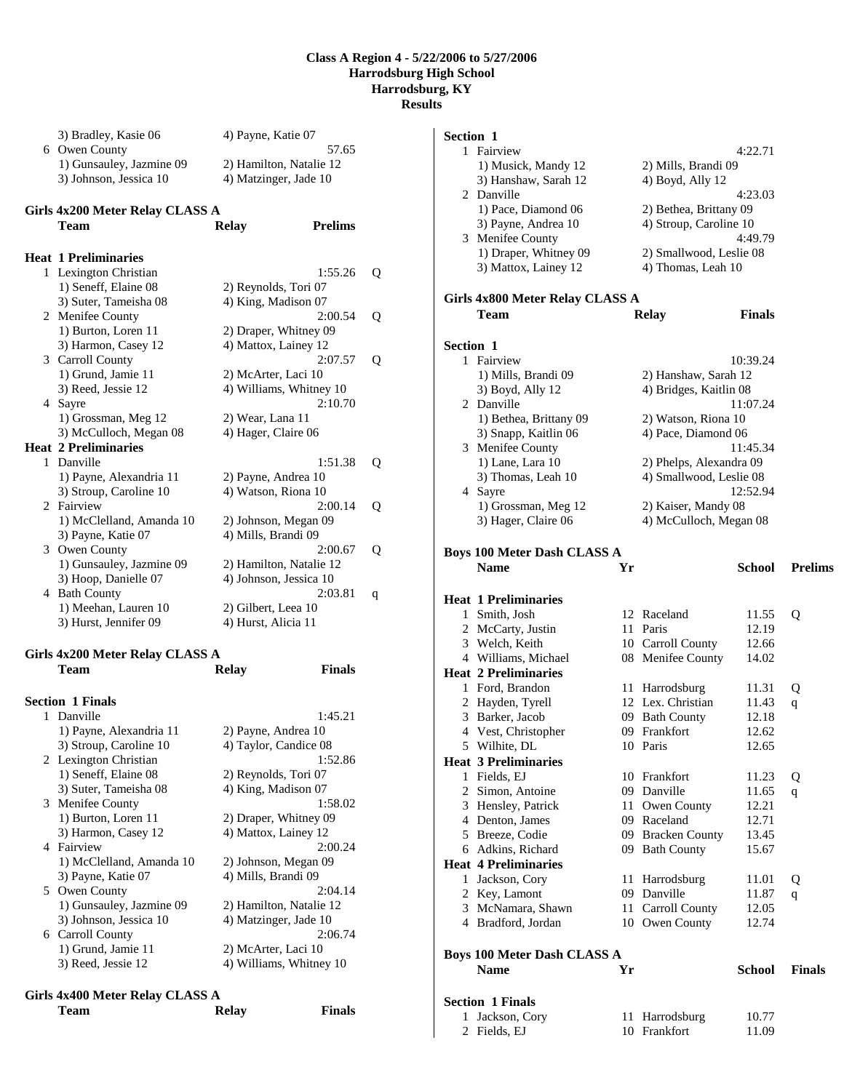| 3) Bradley, Kasie 06     | 4) Payne, Katie 07      |
|--------------------------|-------------------------|
| 6 Owen County            | 57.65                   |
| 1) Gunsauley, Jazmine 09 | 2) Hamilton, Natalie 12 |
| 3) Johnson, Jessica 10   | 4) Matzinger, Jade 10   |

#### **Girls 4x200 Meter Relay CLASS A**

|   | Team                        | <b>Relay</b>            | <b>Prelims</b> |   |
|---|-----------------------------|-------------------------|----------------|---|
|   | Heat 1 Preliminaries        |                         |                |   |
|   | 1 Lexington Christian       |                         | 1:55.26        | Q |
|   | 1) Seneff, Elaine 08        | 2) Reynolds, Tori 07    |                |   |
|   | 3) Suter, Tameisha 08       | 4) King, Madison 07     |                |   |
|   | 2 Menifee County            |                         | 2:00.54        | Q |
|   | 1) Burton, Loren 11         | 2) Draper, Whitney 09   |                |   |
|   | 3) Harmon, Casey 12         | 4) Mattox, Lainey 12    |                |   |
|   | 3 Carroll County            |                         | 2:07.57        | Q |
|   | 1) Grund, Jamie 11          | 2) McArter, Laci 10     |                |   |
|   | 3) Reed, Jessie 12          | 4) Williams, Whitney 10 |                |   |
| 4 | Sayre                       |                         | 2:10.70        |   |
|   | 1) Grossman, Meg 12         | 2) Wear, Lana 11        |                |   |
|   | 3) McCulloch, Megan 08      | 4) Hager, Claire 06     |                |   |
|   | <b>Heat 2 Preliminaries</b> |                         |                |   |
|   | 1 Danville                  |                         | 1:51.38        | Q |
|   | 1) Payne, Alexandria 11     | 2) Payne, Andrea 10     |                |   |
|   | 3) Stroup, Caroline 10      | 4) Watson, Riona 10     |                |   |
|   | 2 Fairview                  |                         | 2:00.14        | Q |
|   | 1) McClelland, Amanda 10    | 2) Johnson, Megan 09    |                |   |
|   | 3) Payne, Katie 07          | 4) Mills, Brandi 09     |                |   |
| 3 | Owen County                 |                         | 2:00.67        | Q |
|   | 1) Gunsauley, Jazmine 09    | 2) Hamilton, Natalie 12 |                |   |
|   | 3) Hoop, Danielle 07        | 4) Johnson, Jessica 10  |                |   |
| 4 | <b>Bath County</b>          |                         | 2:03.81        | q |
|   | 1) Meehan, Lauren 10        | 2) Gilbert, Leea 10     |                |   |
|   | 3) Hurst, Jennifer 09       | 4) Hurst, Alicia 11     |                |   |
|   |                             |                         |                |   |

# **Girls 4x200 Meter Relay CLASS A**

| <b>Section 1 Finals</b>  |                         |
|--------------------------|-------------------------|
| 1 Danville               | 1:45.21                 |
| 1) Payne, Alexandria 11  | 2) Payne, Andrea 10     |
| 3) Stroup, Caroline 10   | 4) Taylor, Candice 08   |
| 2 Lexington Christian    | 1:52.86                 |
| 1) Seneff, Elaine 08     | 2) Reynolds, Tori 07    |
| 3) Suter, Tameisha 08    | 4) King, Madison 07     |
| 3 Menifee County         | 1:58.02                 |
| 1) Burton, Loren 11      | 2) Draper, Whitney 09   |
| 3) Harmon, Casey 12      | 4) Mattox, Lainey 12    |
| 4 Fairview               | 2:00.24                 |
| 1) McClelland, Amanda 10 | 2) Johnson, Megan 09    |
| 3) Payne, Katie 07       | 4) Mills, Brandi 09     |
| 5 Owen County            | 2:04.14                 |
| 1) Gunsauley, Jazmine 09 | 2) Hamilton, Natalie 12 |
| 3) Johnson, Jessica 10   | 4) Matzinger, Jade 10   |
| 6 Carroll County         | 2:06.74                 |
| 1) Grund, Jamie 11       | 2) McArter, Laci 10     |
| 3) Reed, Jessie 12       | 4) Williams, Whitney 10 |
|                          |                         |

**Team Relay Finals** 

# **Girls 4x400 Meter Relay CLASS A**

| <b>Team</b> | <b>Relay</b> | <b>Finals</b> |
|-------------|--------------|---------------|
|             |              |               |

| Section 1                       |                                            |    |                                                  |                |                |
|---------------------------------|--------------------------------------------|----|--------------------------------------------------|----------------|----------------|
|                                 | 1 Fairview                                 |    |                                                  | 4:22.71        |                |
|                                 | 1) Musick, Mandy 12                        |    | 2) Mills, Brandi 09                              |                |                |
|                                 | 3) Hanshaw, Sarah 12<br>2 Danville         |    | 4) Boyd, Ally 12                                 |                |                |
|                                 | 1) Pace, Diamond 06                        |    |                                                  | 4:23.03        |                |
|                                 | 3) Payne, Andrea 10                        |    | 2) Bethea, Brittany 09<br>4) Stroup, Caroline 10 |                |                |
|                                 | 3 Menifee County                           |    |                                                  | 4:49.79        |                |
|                                 | 1) Draper, Whitney 09                      |    | 2) Smallwood, Leslie 08                          |                |                |
|                                 | 3) Mattox, Lainey 12                       |    | 4) Thomas, Leah 10                               |                |                |
|                                 |                                            |    |                                                  |                |                |
| Girls 4x800 Meter Relay CLASS A |                                            |    |                                                  |                |                |
|                                 | Team                                       |    | Relay                                            | <b>Finals</b>  |                |
|                                 |                                            |    |                                                  |                |                |
| <b>Section 1</b>                |                                            |    |                                                  |                |                |
|                                 | 1 Fairview                                 |    |                                                  | 10:39.24       |                |
|                                 | 1) Mills, Brandi 09                        |    | 2) Hanshaw, Sarah 12                             |                |                |
|                                 | 3) Boyd, Ally 12                           |    | 4) Bridges, Kaitlin 08                           |                |                |
|                                 | 2 Danville                                 |    |                                                  | 11:07.24       |                |
|                                 | 1) Bethea, Brittany 09                     |    | 2) Watson, Riona 10                              |                |                |
|                                 | 3) Snapp, Kaitlin 06                       |    | 4) Pace, Diamond 06                              |                |                |
|                                 | 3 Menifee County                           |    |                                                  | 11:45.34       |                |
|                                 | 1) Lane, Lara 10                           |    | 2) Phelps, Alexandra 09                          |                |                |
|                                 | 3) Thomas, Leah 10                         |    | 4) Smallwood, Leslie 08                          |                |                |
|                                 | 4 Sayre                                    |    |                                                  | 12:52.94       |                |
|                                 | 1) Grossman, Meg 12                        |    | 2) Kaiser, Mandy 08                              |                |                |
|                                 | 3) Hager, Claire 06                        |    | 4) McCulloch, Megan 08                           |                |                |
|                                 |                                            |    |                                                  |                |                |
|                                 | <b>Boys 100 Meter Dash CLASS A</b>         |    |                                                  |                |                |
|                                 | <b>Name</b>                                | Yr |                                                  | School         | <b>Prelims</b> |
|                                 |                                            |    |                                                  |                |                |
|                                 |                                            |    |                                                  |                |                |
|                                 | <b>Heat 1 Preliminaries</b>                |    |                                                  |                |                |
|                                 | 1 Smith, Josh                              |    | 12 Raceland                                      | 11.55          | Q              |
|                                 | 2 McCarty, Justin                          |    | 11 Paris                                         | 12.19          |                |
|                                 | 3 Welch, Keith                             |    | 10 Carroll County                                | 12.66          |                |
|                                 | 4 Williams, Michael                        |    | 08 Menifee County                                | 14.02          |                |
|                                 | <b>Heat 2 Preliminaries</b>                |    |                                                  |                |                |
|                                 | 1 Ford, Brandon                            |    | 11 Harrodsburg                                   | 11.31          | Q              |
|                                 | 2 Hayden, Tyrell                           |    | 12 Lex. Christian                                | 11.43          | q              |
|                                 | 3 Barker, Jacob                            |    | 09 Bath County                                   | 12.18          |                |
|                                 | 4 Vest, Christopher                        |    | 09 Frankfort                                     | 12.62          |                |
|                                 | 5 Wilhite, DL                              |    | 10 Paris                                         | 12.65          |                |
|                                 | <b>Heat 3 Preliminaries</b>                |    | 10 Frankfort                                     |                |                |
|                                 | 1 Fields, EJ<br>2 Simon, Antoine           |    | 09 Danville                                      | 11.23          | Q              |
|                                 |                                            |    | 11 Owen County                                   | 11.65<br>12.21 | q              |
|                                 | 3 Hensley, Patrick<br>4 Denton, James      |    | 09 Raceland                                      |                |                |
|                                 | 5 Breeze, Codie                            |    | 09 Bracken County                                | 12.71<br>13.45 |                |
|                                 | 6 Adkins, Richard                          |    | 09 Bath County                                   | 15.67          |                |
|                                 | <b>Heat 4 Preliminaries</b>                |    |                                                  |                |                |
|                                 | 1 Jackson, Cory                            | 11 | Harrodsburg                                      | 11.01          | Q              |
|                                 | 2 Key, Lamont                              |    | 09 Danville                                      | 11.87          | $\mathbf{q}$   |
|                                 | 3 McNamara, Shawn                          |    | 11 Carroll County                                | 12.05          |                |
|                                 | 4 Bradford, Jordan                         |    | 10 Owen County                                   | 12.74          |                |
|                                 |                                            |    |                                                  |                |                |
|                                 | <b>Boys 100 Meter Dash CLASS A</b>         |    |                                                  |                |                |
|                                 | <b>Name</b>                                | Yr |                                                  | <b>School</b>  | <b>Finals</b>  |
|                                 |                                            |    |                                                  |                |                |
|                                 | <b>Section 1 Finals</b><br>1 Jackson, Cory | 11 | Harrodsburg                                      | 10.77          |                |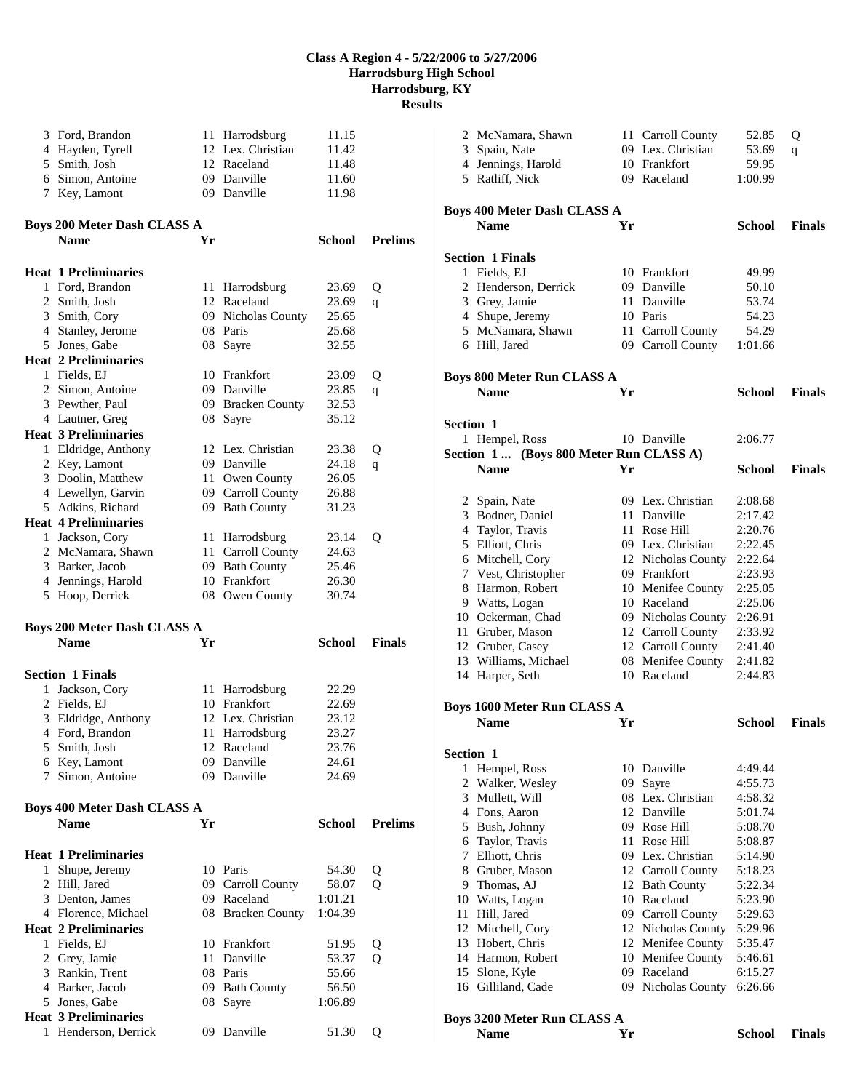|              | 3 Ford, Brandon<br>4 Hayden, Tyrell<br>5 Smith, Josh<br>6 Simon, Antoine<br>7 Key, Lamont |      | 11 Harrodsburg<br>12 Lex. Christian<br>12 Raceland<br>09 Danville<br>09 Danville | 11.15<br>11.42<br>11.48<br>11.60<br>11.98 |                |
|--------------|-------------------------------------------------------------------------------------------|------|----------------------------------------------------------------------------------|-------------------------------------------|----------------|
|              | <b>Boys 200 Meter Dash CLASS A</b><br><b>Name</b>                                         | Yr   |                                                                                  | School                                    | <b>Prelims</b> |
|              | <b>Heat 1 Preliminaries</b>                                                               |      |                                                                                  |                                           |                |
|              | 1 Ford, Brandon                                                                           |      | 11 Harrodsburg                                                                   | 23.69                                     | Q              |
|              | 2 Smith, Josh                                                                             |      | 12 Raceland                                                                      | 23.69                                     |                |
|              | 3 Smith, Cory                                                                             |      | 09 Nicholas County                                                               | 25.65                                     | q              |
|              | 4 Stanley, Jerome                                                                         |      | 08 Paris                                                                         | 25.68                                     |                |
|              | 5 Jones, Gabe                                                                             |      | 08 Sayre                                                                         | 32.55                                     |                |
|              | <b>Heat 2 Preliminaries</b>                                                               |      |                                                                                  |                                           |                |
|              |                                                                                           |      | 10 Frankfort                                                                     |                                           |                |
|              | 1 Fields, EJ                                                                              |      |                                                                                  | 23.09                                     | Q              |
|              | 2 Simon, Antoine                                                                          |      | 09 Danville                                                                      | 23.85                                     | q              |
|              | 3 Pewther, Paul                                                                           |      | 09 Bracken County                                                                | 32.53                                     |                |
|              | 4 Lautner, Greg                                                                           |      | 08 Sayre                                                                         | 35.12                                     |                |
|              | <b>Heat 3 Preliminaries</b>                                                               |      |                                                                                  |                                           |                |
|              | 1 Eldridge, Anthony                                                                       |      | 12 Lex. Christian                                                                | 23.38                                     | Q              |
|              | 2 Key, Lamont                                                                             |      | 09 Danville                                                                      | 24.18                                     | q              |
|              | 3 Doolin, Matthew                                                                         |      | 11 Owen County                                                                   | 26.05                                     |                |
|              | 4 Lewellyn, Garvin                                                                        |      | 09 Carroll County                                                                | 26.88                                     |                |
|              | 5 Adkins, Richard                                                                         |      | 09 Bath County                                                                   | 31.23                                     |                |
|              | <b>Heat 4 Preliminaries</b>                                                               |      |                                                                                  |                                           |                |
|              | 1 Jackson, Cory                                                                           |      | 11 Harrodsburg                                                                   | 23.14                                     | Q              |
|              | 2 McNamara, Shawn                                                                         |      | 11 Carroll County                                                                | 24.63                                     |                |
|              | 3 Barker, Jacob                                                                           | 09   | <b>Bath County</b>                                                               | 25.46                                     |                |
|              | 4 Jennings, Harold                                                                        |      | 10 Frankfort                                                                     | 26.30                                     |                |
|              | 5 Hoop, Derrick                                                                           |      | 08 Owen County                                                                   | 30.74                                     |                |
|              | <b>Boys 200 Meter Dash CLASS A</b>                                                        |      |                                                                                  |                                           |                |
|              | <b>Name</b>                                                                               | Yr   |                                                                                  | <b>School</b>                             | <b>Finals</b>  |
|              |                                                                                           |      |                                                                                  |                                           |                |
|              | <b>Section 1 Finals</b>                                                                   |      |                                                                                  |                                           |                |
| 1            | Jackson, Cory                                                                             | 11 - | Harrodsburg                                                                      | 22.29                                     |                |
|              | 2 Fields, EJ                                                                              |      | 10 Frankfort                                                                     | 22.69                                     |                |
|              | 3 Eldridge, Anthony                                                                       |      | 12 Lex. Christian                                                                | 23.12                                     |                |
|              | 4 Ford, Brandon                                                                           | 11 - | Harrodsburg                                                                      | 23.27                                     |                |
|              | 5 Smith, Josh                                                                             |      | 12 Raceland                                                                      | 23.76                                     |                |
|              | 6 Key, Lamont                                                                             |      | 09 Danville                                                                      | 24.61                                     |                |
| 7            | Simon, Antoine                                                                            |      | 09 Danville                                                                      | 24.69                                     |                |
|              |                                                                                           |      |                                                                                  |                                           |                |
|              | Boys 400 Meter Dash CLASS A                                                               |      |                                                                                  |                                           |                |
|              | <b>Name</b>                                                                               | Yr   |                                                                                  | <b>School</b>                             | <b>Prelims</b> |
|              | <b>Heat 1 Preliminaries</b>                                                               |      |                                                                                  |                                           |                |
| $\mathbf{1}$ | Shupe, Jeremy                                                                             |      | 10 Paris                                                                         | 54.30                                     | Q              |
|              | 2 Hill, Jared                                                                             |      | 09 Carroll County                                                                | 58.07                                     | $\mathbf{O}$   |
|              | 3 Denton, James                                                                           |      | 09 Raceland                                                                      | 1:01.21                                   |                |
|              | 4 Florence, Michael                                                                       |      | 08 Bracken County                                                                | 1:04.39                                   |                |
|              | <b>Heat 2 Preliminaries</b>                                                               |      |                                                                                  |                                           |                |
|              | 1 Fields, EJ                                                                              |      | 10 Frankfort                                                                     |                                           |                |
|              |                                                                                           |      | 11 Danville                                                                      | 51.95<br>53.37                            | Q<br>Q         |
|              | 2 Grey, Jamie                                                                             |      |                                                                                  |                                           |                |
|              | 3 Rankin, Trent                                                                           |      | 08 Paris                                                                         | 55.66                                     |                |
|              | 4 Barker, Jacob                                                                           |      | 09 Bath County                                                                   | 56.50                                     |                |
|              | 5 Jones, Gabe                                                                             | 08   | Sayre                                                                            | 1:06.89                                   |                |
|              | <b>Heat 3 Preliminaries</b>                                                               |      |                                                                                  |                                           |                |
|              | 1 Henderson, Derrick                                                                      |      | 09 Danville                                                                      | 51.30                                     | Q              |

|                  | 2 McNamara, Shawn                       |    | 11 Carroll County  | 52.85         | Q             |
|------------------|-----------------------------------------|----|--------------------|---------------|---------------|
|                  | 3 Spain, Nate                           |    | 09 Lex. Christian  | 53.69         | q             |
|                  | 4 Jennings, Harold                      |    | 10 Frankfort       | 59.95         |               |
|                  | 5 Ratliff, Nick                         |    | 09 Raceland        | 1:00.99       |               |
|                  |                                         |    |                    |               |               |
|                  |                                         |    |                    |               |               |
|                  | <b>Boys 400 Meter Dash CLASS A</b>      |    |                    |               |               |
|                  | <b>Name</b>                             | Yr |                    | School        | <b>Finals</b> |
|                  |                                         |    |                    |               |               |
|                  | <b>Section 1 Finals</b>                 |    |                    |               |               |
|                  | 1 Fields, EJ                            |    | 10 Frankfort       | 49.99         |               |
|                  | 2 Henderson, Derrick                    |    | 09 Danville        | 50.10         |               |
|                  | 3 Grey, Jamie                           |    | 11 Danville        | 53.74         |               |
|                  | 4 Shupe, Jeremy                         |    | 10 Paris           | 54.23         |               |
|                  | 5 McNamara, Shawn                       |    | 11 Carroll County  | 54.29         |               |
|                  |                                         |    |                    | 1:01.66       |               |
|                  | 6 Hill, Jared                           |    | 09 Carroll County  |               |               |
|                  |                                         |    |                    |               |               |
|                  | <b>Boys 800 Meter Run CLASS A</b>       |    |                    |               |               |
|                  | <b>Name</b>                             | Yr |                    | School        | <b>Finals</b> |
|                  |                                         |    |                    |               |               |
| <b>Section 1</b> |                                         |    |                    |               |               |
|                  | 1 Hempel, Ross                          |    | 10 Danville        | 2:06.77       |               |
|                  | Section 1  (Boys 800 Meter Run CLASS A) |    |                    |               |               |
|                  | <b>Name</b>                             | Yr |                    | School        | <b>Finals</b> |
|                  |                                         |    |                    |               |               |
|                  | 2 Spain, Nate                           |    | 09 Lex. Christian  | 2:08.68       |               |
|                  | 3 Bodner, Daniel                        |    | 11 Danville        | 2:17.42       |               |
|                  |                                         |    |                    |               |               |
|                  | 4 Taylor, Travis                        |    | 11 Rose Hill       | 2:20.76       |               |
|                  | 5 Elliott, Chris                        |    | 09 Lex. Christian  | 2:22.45       |               |
|                  | 6 Mitchell, Cory                        |    | 12 Nicholas County | 2:22.64       |               |
|                  | 7 Vest, Christopher                     |    | 09 Frankfort       | 2:23.93       |               |
|                  | 8 Harmon, Robert                        |    | 10 Menifee County  | 2:25.05       |               |
|                  | 9 Watts, Logan                          |    | 10 Raceland        | 2:25.06       |               |
|                  | 10 Ockerman, Chad                       |    | 09 Nicholas County | 2:26.91       |               |
|                  | 11 Gruber, Mason                        |    | 12 Carroll County  | 2:33.92       |               |
|                  | 12 Gruber, Casey                        |    | 12 Carroll County  | 2:41.40       |               |
|                  | 13 Williams, Michael                    |    | 08 Menifee County  | 2:41.82       |               |
|                  | 14 Harper, Seth                         |    | 10 Raceland        | 2:44.83       |               |
|                  |                                         |    |                    |               |               |
|                  | <b>Boys 1600 Meter Run CLASS A</b>      |    |                    |               |               |
|                  | <b>Name</b>                             | Yr |                    | School        | <b>Finals</b> |
|                  |                                         |    |                    |               |               |
|                  |                                         |    |                    |               |               |
| Section 1        |                                         |    |                    |               |               |
|                  | 1 Hempel, Ross                          |    | 10 Danville        | 4:49.44       |               |
|                  | 2 Walker, Wesley                        |    | 09 Sayre           | 4:55.73       |               |
|                  | 3 Mullett, Will                         |    | 08 Lex. Christian  | 4:58.32       |               |
|                  | 4 Fons, Aaron                           |    | 12 Danville        | 5:01.74       |               |
|                  | 5 Bush, Johnny                          |    | 09 Rose Hill       | 5:08.70       |               |
|                  | 6 Taylor, Travis                        |    | 11 Rose Hill       | 5:08.87       |               |
|                  | 7 Elliott, Chris                        |    | 09 Lex. Christian  | 5:14.90       |               |
|                  | 8 Gruber, Mason                         |    | 12 Carroll County  | 5:18.23       |               |
|                  | 9 Thomas, AJ                            |    | 12 Bath County     | 5:22.34       |               |
|                  | 10 Watts, Logan                         |    | 10 Raceland        | 5:23.90       |               |
|                  | 11 Hill, Jared                          |    | 09 Carroll County  | 5:29.63       |               |
|                  | 12 Mitchell, Cory                       |    | 12 Nicholas County | 5:29.96       |               |
|                  | 13 Hobert, Chris                        |    | 12 Menifee County  | 5:35.47       |               |
|                  | 14 Harmon, Robert                       |    | 10 Menifee County  | 5:46.61       |               |
|                  |                                         |    | 09 Raceland        | 6:15.27       |               |
|                  | 15 Slone, Kyle                          |    |                    | 6:26.66       |               |
|                  | 16 Gilliland, Cade                      |    | 09 Nicholas County |               |               |
|                  |                                         |    |                    |               |               |
|                  | <b>Boys 3200 Meter Run CLASS A</b>      |    |                    |               |               |
|                  | <b>Name</b>                             | Yr |                    | <b>School</b> | <b>Finals</b> |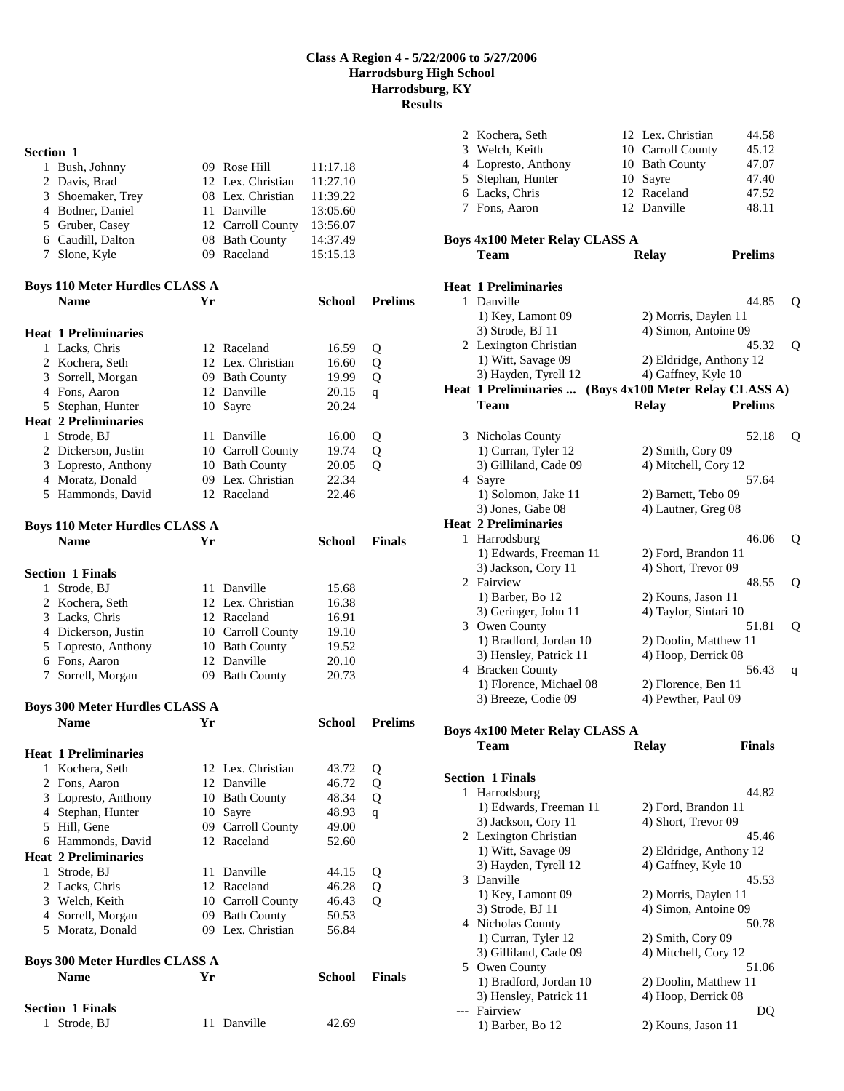| Section 1    |                                                  |    |                                     |               |                |
|--------------|--------------------------------------------------|----|-------------------------------------|---------------|----------------|
|              | 1 Bush, Johnny                                   |    | 09 Rose Hill                        | 11:17.18      |                |
|              | 2 Davis, Brad                                    |    | 12 Lex. Christian                   | 11:27.10      |                |
|              | 3 Shoemaker, Trey                                |    | 08 Lex. Christian                   | 11:39.22      |                |
|              | 4 Bodner, Daniel                                 |    | 11 Danville                         | 13:05.60      |                |
|              | 5 Gruber, Casey                                  |    | 12 Carroll County                   | 13:56.07      |                |
|              | 6 Caudill, Dalton                                |    | 08 Bath County                      | 14:37.49      |                |
|              | 7 Slone, Kyle                                    |    | 09 Raceland                         | 15:15.13      |                |
|              |                                                  |    |                                     |               |                |
|              | <b>Boys 110 Meter Hurdles CLASS A</b>            |    |                                     |               |                |
|              | <b>Name</b>                                      | Yr |                                     | School        | <b>Prelims</b> |
|              |                                                  |    |                                     |               |                |
|              | <b>Heat 1 Preliminaries</b>                      |    |                                     |               |                |
|              | 1 Lacks, Chris                                   |    | 12 Raceland                         | 16.59         | Q              |
|              | 2 Kochera, Seth                                  |    | 12 Lex. Christian                   | 16.60         | Q              |
|              | 3 Sorrell, Morgan<br>4 Fons, Aaron               |    | 09 Bath County<br>12 Danville       | 19.99         | Q              |
|              |                                                  |    |                                     | 20.15         | q              |
|              | 5 Stephan, Hunter<br><b>Heat 2 Preliminaries</b> |    | 10 Sayre                            | 20.24         |                |
|              |                                                  |    |                                     |               |                |
|              | 1 Strode, BJ                                     |    | 11 Danville                         | 16.00         | Q              |
|              | 2 Dickerson, Justin                              |    | 10 Carroll County                   | 19.74         | Q              |
|              | 3 Lopresto, Anthony<br>4 Moratz, Donald          |    | 10 Bath County<br>09 Lex. Christian | 20.05         | Q              |
|              |                                                  |    |                                     | 22.34         |                |
|              | 5 Hammonds, David                                |    | 12 Raceland                         | 22.46         |                |
|              | <b>Boys 110 Meter Hurdles CLASS A</b>            |    |                                     |               |                |
|              | <b>Name</b>                                      | Yr |                                     | <b>School</b> | <b>Finals</b>  |
|              |                                                  |    |                                     |               |                |
|              | <b>Section 1 Finals</b>                          |    |                                     |               |                |
| $\mathbf{1}$ | Strode, BJ                                       |    | 11 Danville                         | 15.68         |                |
|              | 2 Kochera, Seth                                  |    | 12 Lex. Christian                   | 16.38         |                |
|              | 3 Lacks, Chris                                   |    | 12 Raceland                         | 16.91         |                |
|              | 4 Dickerson, Justin                              |    | 10 Carroll County                   | 19.10         |                |
|              | 5 Lopresto, Anthony                              |    | 10 Bath County                      | 19.52         |                |
|              | 6 Fons, Aaron                                    |    | 12 Danville                         | 20.10         |                |
|              | 7 Sorrell, Morgan                                |    | 09 Bath County                      | 20.73         |                |
|              |                                                  |    |                                     |               |                |
|              | <b>Boys 300 Meter Hurdles CLASS A</b>            |    |                                     |               |                |
|              | <b>Name</b>                                      | Yr |                                     | School        | <b>Prelims</b> |
|              | <b>Heat 1 Preliminaries</b>                      |    |                                     |               |                |
| 1            | Kochera, Seth                                    |    | 12 Lex. Christian                   | 43.72         | Q              |
|              | 2 Fons, Aaron                                    |    | 12 Danville                         | 46.72         | Q              |
|              | 3 Lopresto, Anthony                              | 10 | <b>Bath County</b>                  | 48.34         | Q              |
|              | 4 Stephan, Hunter                                |    | 10 Sayre                            | 48.93         | $\mathbf{q}$   |
|              | 5 Hill, Gene                                     |    | 09 Carroll County                   | 49.00         |                |
|              | 6 Hammonds, David                                |    | 12 Raceland                         | 52.60         |                |
|              | <b>Heat 2 Preliminaries</b>                      |    |                                     |               |                |
|              | 1 Strode, BJ                                     | 11 | Danville                            | 44.15         | Q              |
|              | 2 Lacks, Chris                                   | 12 | Raceland                            | 46.28         | Q              |
|              | 3 Welch, Keith                                   |    | 10 Carroll County                   | 46.43         | Q              |
|              | 4 Sorrell, Morgan                                |    | 09 Bath County                      | 50.53         |                |
|              | 5 Moratz, Donald                                 |    | 09 Lex. Christian                   | 56.84         |                |
|              |                                                  |    |                                     |               |                |
|              | <b>Boys 300 Meter Hurdles CLASS A</b>            |    |                                     |               |                |
|              | <b>Name</b>                                      | Yr |                                     | <b>School</b> | <b>Finals</b>  |
|              | <b>Section 1 Finals</b>                          |    |                                     |               |                |
| 1            | Strode, BJ                                       | 11 | Danville                            | 42.69         |                |
|              |                                                  |    |                                     |               |                |

|                                                                                 | 2 Kochera, Seth<br>3 Welch, Keith       |  | 12 Lex. Christian<br>10 Carroll County | 44.58<br>45.12 |   |  |  |
|---------------------------------------------------------------------------------|-----------------------------------------|--|----------------------------------------|----------------|---|--|--|
|                                                                                 | 4 Lopresto, Anthony                     |  | 10 Bath County                         | 47.07          |   |  |  |
|                                                                                 | 5 Stephan, Hunter                       |  | 10 Sayre                               | 47.40          |   |  |  |
|                                                                                 | 6 Lacks, Chris                          |  | 12 Raceland                            | 47.52          |   |  |  |
|                                                                                 | 7 Fons, Aaron                           |  | 12 Danville                            | 48.11          |   |  |  |
|                                                                                 |                                         |  |                                        |                |   |  |  |
| <b>Boys 4x100 Meter Relay CLASS A</b><br><b>Prelims</b><br>Team<br><b>Relay</b> |                                         |  |                                        |                |   |  |  |
|                                                                                 |                                         |  |                                        |                |   |  |  |
|                                                                                 | <b>Heat 1 Preliminaries</b>             |  |                                        |                |   |  |  |
|                                                                                 | 1 Danville                              |  |                                        | 44.85          | Q |  |  |
|                                                                                 | 1) Key, Lamont 09                       |  | 2) Morris, Daylen 11                   |                |   |  |  |
|                                                                                 | 3) Strode, BJ 11                        |  | 4) Simon, Antoine 09                   |                |   |  |  |
|                                                                                 | 2 Lexington Christian                   |  |                                        | 45.32          | Q |  |  |
|                                                                                 | 1) Witt, Savage 09                      |  | 2) Eldridge, Anthony 12                |                |   |  |  |
|                                                                                 | 3) Hayden, Tyrell 12                    |  | 4) Gaffney, Kyle 10                    |                |   |  |  |
|                                                                                 | Heat 1 Preliminaries                    |  | (Boys 4x100 Meter Relay CLASS A)       | <b>Prelims</b> |   |  |  |
|                                                                                 | Team                                    |  | <b>Relay</b>                           |                |   |  |  |
|                                                                                 | 3 Nicholas County                       |  |                                        | 52.18          | Q |  |  |
|                                                                                 | 1) Curran, Tyler 12                     |  | 2) Smith, Cory 09                      |                |   |  |  |
|                                                                                 | 3) Gilliland, Cade 09                   |  | 4) Mitchell, Cory 12                   |                |   |  |  |
|                                                                                 | 4 Sayre                                 |  |                                        | 57.64          |   |  |  |
|                                                                                 | 1) Solomon, Jake 11                     |  | 2) Barnett, Tebo 09                    |                |   |  |  |
|                                                                                 | 3) Jones, Gabe 08                       |  | 4) Lautner, Greg 08                    |                |   |  |  |
|                                                                                 | <b>Heat 2 Preliminaries</b>             |  |                                        |                |   |  |  |
|                                                                                 | 1 Harrodsburg                           |  |                                        | 46.06          | Q |  |  |
|                                                                                 | 1) Edwards, Freeman 11                  |  | 2) Ford, Brandon 11                    |                |   |  |  |
|                                                                                 | 3) Jackson, Cory 11                     |  | 4) Short, Trevor 09                    |                |   |  |  |
|                                                                                 | 2 Fairview                              |  |                                        | 48.55          | Q |  |  |
|                                                                                 | 1) Barber, Bo 12                        |  | 2) Kouns, Jason 11                     |                |   |  |  |
|                                                                                 | 3) Geringer, John 11                    |  | 4) Taylor, Sintari 10                  |                |   |  |  |
|                                                                                 | 3 Owen County<br>1) Bradford, Jordan 10 |  | 2) Doolin, Matthew 11                  | 51.81          | Q |  |  |
|                                                                                 | 3) Hensley, Patrick 11                  |  | 4) Hoop, Derrick 08                    |                |   |  |  |
|                                                                                 | 4 Bracken County                        |  |                                        | 56.43          | q |  |  |
|                                                                                 | 1) Florence, Michael 08                 |  | 2) Florence, Ben 11                    |                |   |  |  |
|                                                                                 | 3) Breeze, Codie 09                     |  | 4) Pewther, Paul 09                    |                |   |  |  |
|                                                                                 |                                         |  |                                        |                |   |  |  |
|                                                                                 | Boys 4x100 Meter Relay CLASS A          |  |                                        |                |   |  |  |
|                                                                                 | <b>Team</b>                             |  | Relay                                  | Finals         |   |  |  |
|                                                                                 | <b>Section 1 Finals</b>                 |  |                                        |                |   |  |  |
|                                                                                 | 1 Harrodsburg                           |  |                                        | 44.82          |   |  |  |
|                                                                                 | 1) Edwards, Freeman 11                  |  | 2) Ford, Brandon 11                    |                |   |  |  |
|                                                                                 | 3) Jackson, Cory 11                     |  | 4) Short, Trevor 09                    |                |   |  |  |
|                                                                                 | 2 Lexington Christian                   |  |                                        | 45.46          |   |  |  |
|                                                                                 | 1) Witt, Savage 09                      |  | 2) Eldridge, Anthony 12                |                |   |  |  |
|                                                                                 | 3) Hayden, Tyrell 12                    |  | 4) Gaffney, Kyle 10                    |                |   |  |  |
|                                                                                 | 3 Danville                              |  |                                        | 45.53          |   |  |  |
|                                                                                 | 1) Key, Lamont 09                       |  | 2) Morris, Daylen 11                   |                |   |  |  |
|                                                                                 | 3) Strode, BJ 11                        |  | 4) Simon, Antoine 09                   |                |   |  |  |
|                                                                                 | 4 Nicholas County                       |  |                                        | 50.78          |   |  |  |
|                                                                                 | 1) Curran, Tyler 12                     |  | 2) Smith, Cory 09                      |                |   |  |  |
|                                                                                 | 3) Gilliland, Cade 09                   |  | 4) Mitchell, Cory 12                   |                |   |  |  |
|                                                                                 | 5 Owen County                           |  |                                        | 51.06          |   |  |  |
|                                                                                 | 1) Bradford, Jordan 10                  |  | 2) Doolin, Matthew 11                  |                |   |  |  |
|                                                                                 | 3) Hensley, Patrick 11                  |  | 4) Hoop, Derrick 08                    |                |   |  |  |
|                                                                                 | --- Fairview<br>1) Barber, Bo 12        |  | 2) Kouns, Jason 11                     | DQ             |   |  |  |
|                                                                                 |                                         |  |                                        |                |   |  |  |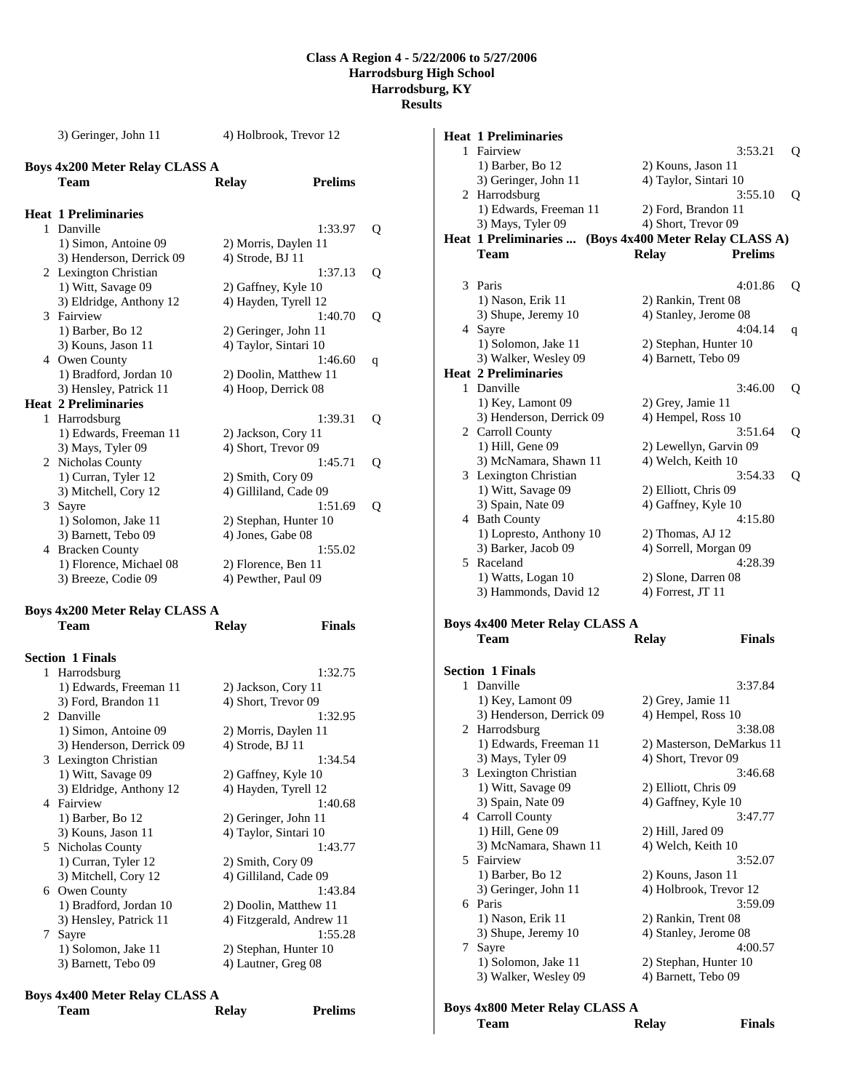3) Geringer, John 11 4) Holbrook, Trevor 12 **Boys 4x200 Meter Relay CLASS A Team Relay Prelims Heat 1 Preliminaries**  1 Danville 1:33.97 Q 1) Simon, Antoine 09 2) Morris, Daylen 11 3) Henderson, Derrick 09 4) Strode, BJ 11 2 Lexington Christian 1:37.13 Q 1) Witt, Savage 09 2) Gaffney, Kyle 10 3) Eldridge, Anthony 12 4) Hayden, Tyrell 12 3 Fairview 1:40.70 Q 1) Barber, Bo 12 2) Geringer, John 11 3) Kouns, Jason 11 4) Taylor, Sintari 10 4 Owen County 1:46.60 q 1) Bradford, Jordan 10 2) Doolin, Matthew 11 3) Hensley, Patrick 11 4) Hoop, Derrick 08 **Heat 2 Preliminaries**  1 Harrodsburg 1:39.31 Q 1) Edwards, Freeman 11 2) Jackson, Cory 11 3) Mays, Tyler 09 4) Short, Trevor 09 2 Nicholas County<br>
1:45.71 Q<br>
1:45.71 Q<br>
2) Smith, Cory 09 1) Curran, Tyler 12 3) Mitchell, Cory 12 4) Gilliland, Cade 09 3 Sayre 1:51.69 Q<br>1) Solomon, Jake 11 2) Stephan, Hunter 10 2) Stephan, Hunter 10 3) Barnett, Tebo 09 4) Jones, Gabe 08 4 Bracken County 1:55.02 1) Florence, Michael 08 2) Florence, Ben 11 3) Breeze, Codie 09 4) Pewther, Paul 09

#### **Boys 4x200 Meter Relay CLASS A Team Relay Finals**

|   | <b>Section 1 Finals</b>  |                          |
|---|--------------------------|--------------------------|
| 1 | Harrodsburg              | 1:32.75                  |
|   | 1) Edwards, Freeman 11   | 2) Jackson, Cory 11      |
|   | 3) Ford, Brandon 11      | 4) Short, Trevor 09      |
|   | 2 Danville               | 1:32.95                  |
|   | 1) Simon, Antoine 09     | 2) Morris, Daylen 11     |
|   | 3) Henderson, Derrick 09 | 4) Strode, BJ 11         |
|   | 3 Lexington Christian    | 1:34.54                  |
|   | 1) Witt, Savage 09       | 2) Gaffney, Kyle 10      |
|   | 3) Eldridge, Anthony 12  | 4) Hayden, Tyrell 12     |
|   | 4 Fairview               | 1:40.68                  |
|   | 1) Barber, Bo 12         | 2) Geringer, John 11     |
|   | 3) Kouns, Jason 11       | 4) Taylor, Sintari 10    |
|   | 5 Nicholas County        | 1:43.77                  |
|   | 1) Curran, Tyler 12      | 2) Smith, Cory 09        |
|   | 3) Mitchell, Cory 12     | 4) Gilliland, Cade 09    |
|   | 6 Owen County            | 1:43.84                  |
|   | 1) Bradford, Jordan 10   | 2) Doolin, Matthew 11    |
|   | 3) Hensley, Patrick 11   | 4) Fitzgerald, Andrew 11 |
| 7 | Sayre                    | 1:55.28                  |
|   | 1) Solomon, Jake 11      | 2) Stephan, Hunter 10    |
|   | 3) Barnett, Tebo 09      | 4) Lautner, Greg 08      |
|   |                          |                          |

# **Boys 4x400 Meter Relay CLASS A**

| $100 \text{ m}$ |              |                |
|-----------------|--------------|----------------|
| <b>Team</b>     | <b>Relay</b> | <b>Prelims</b> |
|                 |              |                |

| <b>Heat 1 Preliminaries</b>                   |                                                        |   |
|-----------------------------------------------|--------------------------------------------------------|---|
| 1 Fairview                                    | 3:53.21                                                | Q |
| 1) Barber, Bo 12                              | 2) Kouns, Jason 11                                     |   |
| 3) Geringer, John 11                          | 4) Taylor, Sintari 10                                  |   |
| 2 Harrodsburg                                 | 3:55.10                                                | Q |
| 1) Edwards, Freeman 11                        | 2) Ford, Brandon 11                                    |   |
| 3) Mays, Tyler 09                             | 4) Short, Trevor 09                                    |   |
|                                               | Heat 1 Preliminaries  (Boys 4x400 Meter Relay CLASS A) |   |
| Team                                          | <b>Relay</b><br><b>Prelims</b>                         |   |
|                                               |                                                        |   |
| 3 Paris                                       | 4:01.86                                                | Q |
| 1) Nason, Erik 11                             | 2) Rankin, Trent 08                                    |   |
| 3) Shupe, Jeremy 10                           | 4) Stanley, Jerome 08<br>4:04.14                       |   |
| 4 Sayre                                       |                                                        | q |
| 1) Solomon, Jake 11<br>3) Walker, Wesley 09   | 2) Stephan, Hunter 10                                  |   |
|                                               | 4) Barnett, Tebo 09                                    |   |
| <b>Heat 2 Preliminaries</b>                   |                                                        |   |
| 1 Danville                                    | 3:46.00                                                | Q |
| 1) Key, Lamont 09<br>3) Henderson, Derrick 09 | 2) Grey, Jamie 11<br>4) Hempel, Ross 10                |   |
| 2 Carroll County                              | 3:51.64                                                | Q |
| 1) Hill, Gene 09                              | 2) Lewellyn, Garvin 09                                 |   |
| 3) McNamara, Shawn 11                         | 4) Welch, Keith 10                                     |   |
| 3 Lexington Christian                         | 3:54.33                                                | Q |
| 1) Witt, Savage 09                            | 2) Elliott, Chris 09                                   |   |
| 3) Spain, Nate 09                             | 4) Gaffney, Kyle 10                                    |   |
| 4 Bath County                                 | 4:15.80                                                |   |
| 1) Lopresto, Anthony 10                       | 2) Thomas, AJ 12                                       |   |
| 3) Barker, Jacob 09                           | 4) Sorrell, Morgan 09                                  |   |
| 5 Raceland                                    | 4:28.39                                                |   |
| 1) Watts, Logan 10                            | 2) Slone, Darren 08                                    |   |
| 3) Hammonds, David 12                         | 4) Forrest, JT 11                                      |   |
|                                               |                                                        |   |
| <b>Boys 4x400 Meter Relay CLASS A</b><br>Team | <b>Finals</b><br><b>Relay</b>                          |   |
|                                               |                                                        |   |
| <b>Section 1 Finals</b>                       |                                                        |   |
| 1 Danville                                    | 3:37.84                                                |   |
| 1) Key, Lamont 09                             | 2) Grey, Jamie 11                                      |   |
| 3) Henderson, Derrick 09                      | 4) Hempel, Ross 10                                     |   |
| 2 Harrodsburg                                 | 3:38.08                                                |   |
| 1) Edwards, Freeman 11                        | 2) Masterson, DeMarkus 11                              |   |
| 3) Mays, Tyler 09                             | 4) Short, Trevor 09                                    |   |
| 3 Lexington Christian                         | 3:46.68                                                |   |
| 1) Witt, Savage 09                            | 2) Elliott, Chris 09                                   |   |
| 3) Spain, Nate 09                             | 4) Gaffney, Kyle 10                                    |   |
| 4 Carroll County                              | 3:47.77                                                |   |
| 1) Hill, Gene 09                              | 2) Hill, Jared 09                                      |   |
| 3) McNamara, Shawn 11                         | 4) Welch, Keith 10                                     |   |
| 5 Fairview                                    | 3:52.07                                                |   |
| 1) Barber, Bo 12                              | 2) Kouns, Jason 11                                     |   |
| 3) Geringer, John 11                          | 4) Holbrook, Trevor 12                                 |   |
| 6 Paris                                       | 3:59.09                                                |   |
| 1) Nason, Erik 11                             | 2) Rankin, Trent 08                                    |   |
| 3) Shupe, Jeremy 10                           | 4) Stanley, Jerome 08                                  |   |
| 7 Sayre                                       | 4:00.57                                                |   |
| 1) Solomon, Jake 11<br>3) Walker, Wesley 09   | 2) Stephan, Hunter 10<br>4) Barnett, Tebo 09           |   |
|                                               |                                                        |   |
| <b>Boys 4x800 Meter Relay CLASS A</b>         |                                                        |   |
| Team                                          | <b>Relay</b><br><b>Finals</b>                          |   |
|                                               |                                                        |   |